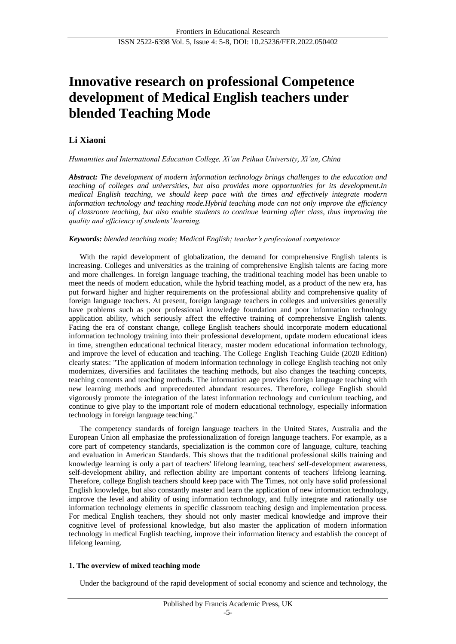# **Innovative research on professional Competence development of Medical English teachers under blended Teaching Mode**

## **Li Xiaoni**

## *Humanities and International Education College, Xi'an Peihua University, Xi'an, China*

*Abstract: The development of modern information technology brings challenges to the education and teaching of colleges and universities, but also provides more opportunities for its development.In medical English teaching, we should keep pace with the times and effectively integrate modern information technology and teaching mode.Hybrid teaching mode can not only improve the efficiency of classroom teaching, but also enable students to continue learning after class, thus improving the quality and efficiency of students' learning.*

## *Keywords: blended teaching mode; Medical English; teacher's professional competence*

With the rapid development of globalization, the demand for comprehensive English talents is increasing. Colleges and universities as the training of comprehensive English talents are facing more and more challenges. In foreign language teaching, the traditional teaching model has been unable to meet the needs of modern education, while the hybrid teaching model, as a product of the new era, has put forward higher and higher requirements on the professional ability and comprehensive quality of foreign language teachers. At present, foreign language teachers in colleges and universities generally have problems such as poor professional knowledge foundation and poor information technology application ability, which seriously affect the effective training of comprehensive English talents. Facing the era of constant change, college English teachers should incorporate modern educational information technology training into their professional development, update modern educational ideas in time, strengthen educational technical literacy, master modern educational information technology, and improve the level of education and teaching. The College English Teaching Guide (2020 Edition) clearly states: "The application of modern information technology in college English teaching not only modernizes, diversifies and facilitates the teaching methods, but also changes the teaching concepts, teaching contents and teaching methods. The information age provides foreign language teaching with new learning methods and unprecedented abundant resources. Therefore, college English should vigorously promote the integration of the latest information technology and curriculum teaching, and continue to give play to the important role of modern educational technology, especially information technology in foreign language teaching."

The competency standards of foreign language teachers in the United States, Australia and the European Union all emphasize the professionalization of foreign language teachers. For example, as a core part of competency standards, specialization is the common core of language, culture, teaching and evaluation in American Standards. This shows that the traditional professional skills training and knowledge learning is only a part of teachers' lifelong learning, teachers' self-development awareness, self-development ability, and reflection ability are important contents of teachers' lifelong learning. Therefore, college English teachers should keep pace with The Times, not only have solid professional English knowledge, but also constantly master and learn the application of new information technology, improve the level and ability of using information technology, and fully integrate and rationally use information technology elements in specific classroom teaching design and implementation process. For medical English teachers, they should not only master medical knowledge and improve their cognitive level of professional knowledge, but also master the application of modern information technology in medical English teaching, improve their information literacy and establish the concept of lifelong learning.

## **1. The overview of mixed teaching mode**

Under the background of the rapid development of social economy and science and technology, the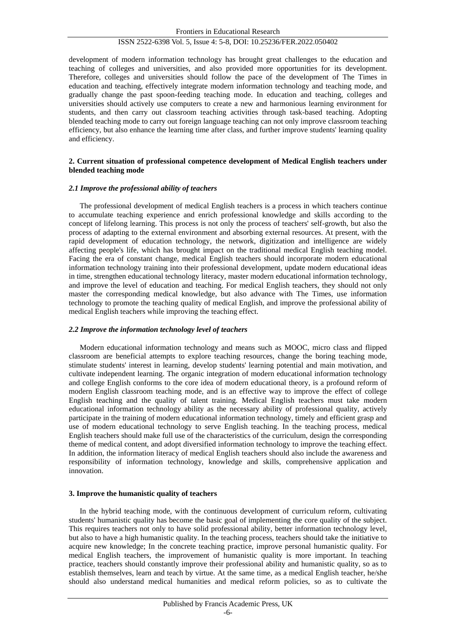Frontiers in Educational Research

## ISSN 2522-6398 Vol. 5, Issue 4: 5-8, DOI: 10.25236/FER.2022.050402

development of modern information technology has brought great challenges to the education and teaching of colleges and universities, and also provided more opportunities for its development. Therefore, colleges and universities should follow the pace of the development of The Times in education and teaching, effectively integrate modern information technology and teaching mode, and gradually change the past spoon-feeding teaching mode. In education and teaching, colleges and universities should actively use computers to create a new and harmonious learning environment for students, and then carry out classroom teaching activities through task-based teaching. Adopting blended teaching mode to carry out foreign language teaching can not only improve classroom teaching efficiency, but also enhance the learning time after class, and further improve students' learning quality and efficiency.

#### **2. Current situation of professional competence development of Medical English teachers under blended teaching mode**

#### *2.1 Improve the professional ability of teachers*

The professional development of medical English teachers is a process in which teachers continue to accumulate teaching experience and enrich professional knowledge and skills according to the concept of lifelong learning. This process is not only the process of teachers' self-growth, but also the process of adapting to the external environment and absorbing external resources. At present, with the rapid development of education technology, the network, digitization and intelligence are widely affecting people's life, which has brought impact on the traditional medical English teaching model. Facing the era of constant change, medical English teachers should incorporate modern educational information technology training into their professional development, update modern educational ideas in time, strengthen educational technology literacy, master modern educational information technology, and improve the level of education and teaching. For medical English teachers, they should not only master the corresponding medical knowledge, but also advance with The Times, use information technology to promote the teaching quality of medical English, and improve the professional ability of medical English teachers while improving the teaching effect.

#### *2.2 Improve the information technology level of teachers*

Modern educational information technology and means such as MOOC, micro class and flipped classroom are beneficial attempts to explore teaching resources, change the boring teaching mode, stimulate students' interest in learning, develop students' learning potential and main motivation, and cultivate independent learning. The organic integration of modern educational information technology and college English conforms to the core idea of modern educational theory, is a profound reform of modern English classroom teaching mode, and is an effective way to improve the effect of college English teaching and the quality of talent training. Medical English teachers must take modern educational information technology ability as the necessary ability of professional quality, actively participate in the training of modern educational information technology, timely and efficient grasp and use of modern educational technology to serve English teaching. In the teaching process, medical English teachers should make full use of the characteristics of the curriculum, design the corresponding theme of medical content, and adopt diversified information technology to improve the teaching effect. In addition, the information literacy of medical English teachers should also include the awareness and responsibility of information technology, knowledge and skills, comprehensive application and innovation.

#### **3. Improve the humanistic quality of teachers**

In the hybrid teaching mode, with the continuous development of curriculum reform, cultivating students' humanistic quality has become the basic goal of implementing the core quality of the subject. This requires teachers not only to have solid professional ability, better information technology level, but also to have a high humanistic quality. In the teaching process, teachers should take the initiative to acquire new knowledge; In the concrete teaching practice, improve personal humanistic quality. For medical English teachers, the improvement of humanistic quality is more important. In teaching practice, teachers should constantly improve their professional ability and humanistic quality, so as to establish themselves, learn and teach by virtue. At the same time, as a medical English teacher, he/she should also understand medical humanities and medical reform policies, so as to cultivate the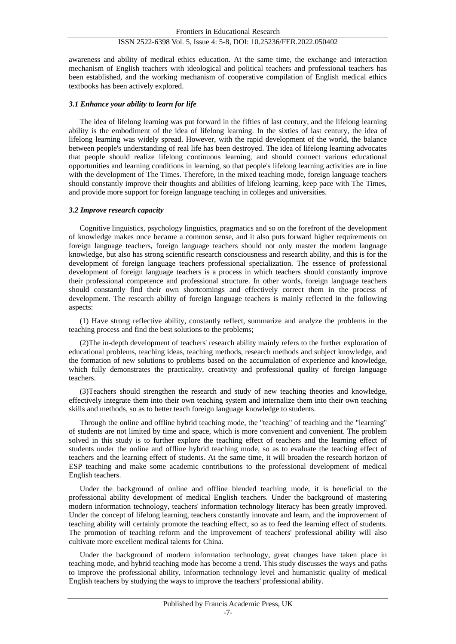## ISSN 2522-6398 Vol. 5, Issue 4: 5-8, DOI: 10.25236/FER.2022.050402

awareness and ability of medical ethics education. At the same time, the exchange and interaction mechanism of English teachers with ideological and political teachers and professional teachers has been established, and the working mechanism of cooperative compilation of English medical ethics textbooks has been actively explored.

## *3.1 Enhance your ability to learn for life*

The idea of lifelong learning was put forward in the fifties of last century, and the lifelong learning ability is the embodiment of the idea of lifelong learning. In the sixties of last century, the idea of lifelong learning was widely spread. However, with the rapid development of the world, the balance between people's understanding of real life has been destroyed. The idea of lifelong learning advocates that people should realize lifelong continuous learning, and should connect various educational opportunities and learning conditions in learning, so that people's lifelong learning activities are in line with the development of The Times. Therefore, in the mixed teaching mode, foreign language teachers should constantly improve their thoughts and abilities of lifelong learning, keep pace with The Times, and provide more support for foreign language teaching in colleges and universities.

#### *3.2 Improve research capacity*

Cognitive linguistics, psychology linguistics, pragmatics and so on the forefront of the development of knowledge makes once became a common sense, and it also puts forward higher requirements on foreign language teachers, foreign language teachers should not only master the modern language knowledge, but also has strong scientific research consciousness and research ability, and this is for the development of foreign language teachers professional specialization. The essence of professional development of foreign language teachers is a process in which teachers should constantly improve their professional competence and professional structure. In other words, foreign language teachers should constantly find their own shortcomings and effectively correct them in the process of development. The research ability of foreign language teachers is mainly reflected in the following aspects:

(1) Have strong reflective ability, constantly reflect, summarize and analyze the problems in the teaching process and find the best solutions to the problems;

(2)The in-depth development of teachers' research ability mainly refers to the further exploration of educational problems, teaching ideas, teaching methods, research methods and subject knowledge, and the formation of new solutions to problems based on the accumulation of experience and knowledge, which fully demonstrates the practicality, creativity and professional quality of foreign language teachers.

(3)Teachers should strengthen the research and study of new teaching theories and knowledge, effectively integrate them into their own teaching system and internalize them into their own teaching skills and methods, so as to better teach foreign language knowledge to students.

Through the online and offline hybrid teaching mode, the "teaching" of teaching and the "learning" of students are not limited by time and space, which is more convenient and convenient. The problem solved in this study is to further explore the teaching effect of teachers and the learning effect of students under the online and offline hybrid teaching mode, so as to evaluate the teaching effect of teachers and the learning effect of students. At the same time, it will broaden the research horizon of ESP teaching and make some academic contributions to the professional development of medical English teachers.

Under the background of online and offline blended teaching mode, it is beneficial to the professional ability development of medical English teachers. Under the background of mastering modern information technology, teachers' information technology literacy has been greatly improved. Under the concept of lifelong learning, teachers constantly innovate and learn, and the improvement of teaching ability will certainly promote the teaching effect, so as to feed the learning effect of students. The promotion of teaching reform and the improvement of teachers' professional ability will also cultivate more excellent medical talents for China.

Under the background of modern information technology, great changes have taken place in teaching mode, and hybrid teaching mode has become a trend. This study discusses the ways and paths to improve the professional ability, information technology level and humanistic quality of medical English teachers by studying the ways to improve the teachers' professional ability.